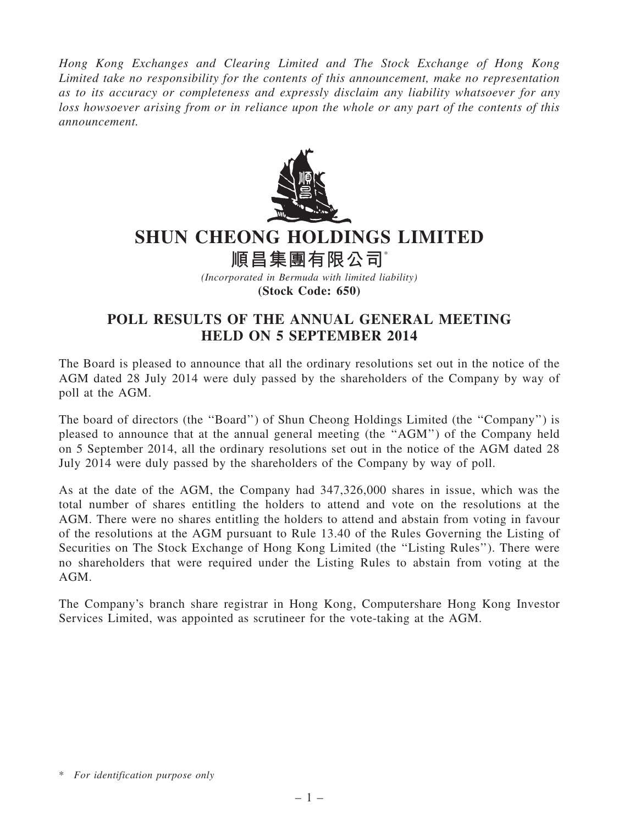Hong Kong Exchanges and Clearing Limited and The Stock Exchange of Hong Kong Limited take no responsibility for the contents of this announcement, make no representation as to its accuracy or completeness and expressly disclaim any liability whatsoever for any loss howsoever arising from or in reliance upon the whole or any part of the contents of this announcement.



## SHUN CHEONG HOLDINGS LIMITED

順昌集團有限公司\*

(Incorporated in Bermuda with limited liability) (Stock Code: 650)

## POLL RESULTS OF THE ANNUAL GENERAL MEETING HELD ON 5 SEPTEMBER 2014

The Board is pleased to announce that all the ordinary resolutions set out in the notice of the AGM dated 28 July 2014 were duly passed by the shareholders of the Company by way of poll at the AGM.

The board of directors (the ''Board'') of Shun Cheong Holdings Limited (the ''Company'') is pleased to announce that at the annual general meeting (the ''AGM'') of the Company held on 5 September 2014, all the ordinary resolutions set out in the notice of the AGM dated 28 July 2014 were duly passed by the shareholders of the Company by way of poll.

As at the date of the AGM, the Company had 347,326,000 shares in issue, which was the total number of shares entitling the holders to attend and vote on the resolutions at the AGM. There were no shares entitling the holders to attend and abstain from voting in favour of the resolutions at the AGM pursuant to Rule 13.40 of the Rules Governing the Listing of Securities on The Stock Exchange of Hong Kong Limited (the ''Listing Rules''). There were no shareholders that were required under the Listing Rules to abstain from voting at the AGM.

The Company's branch share registrar in Hong Kong, Computershare Hong Kong Investor Services Limited, was appointed as scrutineer for the vote-taking at the AGM.

<sup>\*</sup> For identification purpose only